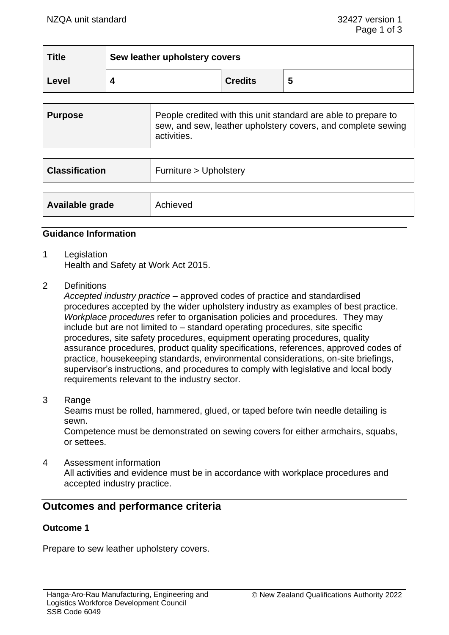| <b>Title</b> | Sew leather upholstery covers |                |   |
|--------------|-------------------------------|----------------|---|
| Level        |                               | <b>Credits</b> | 5 |

| <b>Purpose</b> | People credited with this unit standard are able to prepare to<br>sew, and sew, leather upholstery covers, and complete sewing<br>activities. |
|----------------|-----------------------------------------------------------------------------------------------------------------------------------------------|
|                |                                                                                                                                               |

| <b>Classification</b> | Furniture > Upholstery |  |
|-----------------------|------------------------|--|
|                       |                        |  |
| Available grade       | Achieved               |  |

#### **Guidance Information**

- 1 Legislation Health and Safety at Work Act 2015.
- 2 Definitions

*Accepted industry practice* – approved codes of practice and standardised procedures accepted by the wider upholstery industry as examples of best practice. *Workplace procedures* refer to organisation policies and procedures. They may include but are not limited to – standard operating procedures, site specific procedures, site safety procedures, equipment operating procedures, quality assurance procedures, product quality specifications, references, approved codes of practice, housekeeping standards, environmental considerations, on-site briefings, supervisor's instructions, and procedures to comply with legislative and local body requirements relevant to the industry sector.

3 Range

Seams must be rolled, hammered, glued, or taped before twin needle detailing is sewn.

Competence must be demonstrated on sewing covers for either armchairs, squabs, or settees.

4 Assessment information

All activities and evidence must be in accordance with workplace procedures and accepted industry practice.

# **Outcomes and performance criteria**

# **Outcome 1**

Prepare to sew leather upholstery covers.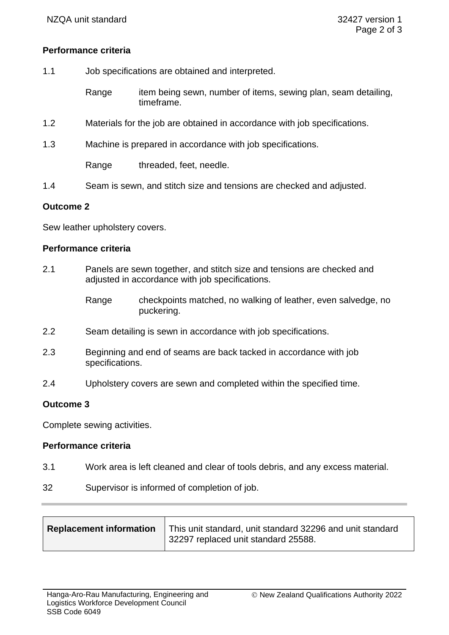### **Performance criteria**

- 1.1 Job specifications are obtained and interpreted.
	- Range item being sewn, number of items, sewing plan, seam detailing, timeframe.
- 1.2 Materials for the job are obtained in accordance with job specifications.
- 1.3 Machine is prepared in accordance with job specifications.

Range threaded, feet, needle.

1.4 Seam is sewn, and stitch size and tensions are checked and adjusted.

#### **Outcome 2**

Sew leather upholstery covers.

#### **Performance criteria**

- 2.1 Panels are sewn together, and stitch size and tensions are checked and adjusted in accordance with job specifications.
	- Range checkpoints matched, no walking of leather, even salvedge, no puckering.
- 2.2 Seam detailing is sewn in accordance with job specifications.
- 2.3 Beginning and end of seams are back tacked in accordance with job specifications.
- 2.4 Upholstery covers are sewn and completed within the specified time.

### **Outcome 3**

Complete sewing activities.

#### **Performance criteria**

- 3.1 Work area is left cleaned and clear of tools debris, and any excess material.
- 32 Supervisor is informed of completion of job.

|  | Replacement information | This unit standard, unit standard 32296 and unit standard<br>32297 replaced unit standard 25588. |
|--|-------------------------|--------------------------------------------------------------------------------------------------|
|--|-------------------------|--------------------------------------------------------------------------------------------------|